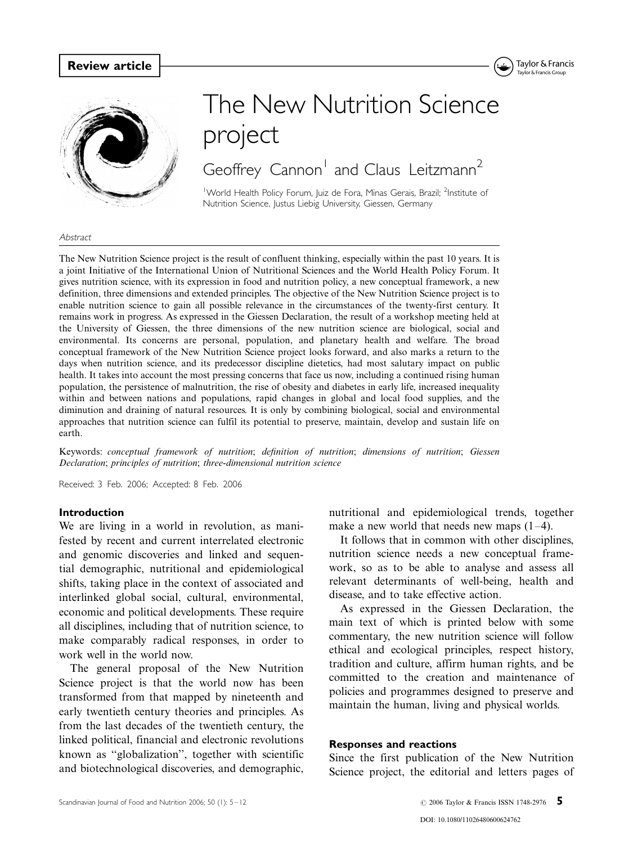

# The New Nutrition Science project Review article<br>
The New Nutrition Science<br>
project<br>
Geoffrey Cannon<sup>1</sup> and Claus Leitzmann<sup>2</sup>

Geoffrey Cannon<sup>1</sup> and Claus Leitzmann<sup>2</sup>

<sup>1</sup>World Health Policy Forum, Juiz de Fora, Minas Gerais, Brazil; <sup>2</sup>Institute of Nutrition Science, Justus Liebig University, Giessen, Germany

#### Abstract

The New Nutrition Science project is the result of confluent thinking, especially within the past 10 years. It is a joint Initiative of the International Union of Nutritional Sciences and the World Health Policy Forum. It gives nutrition science, with its expression in food and nutrition policy, a new conceptual framework, a new definition, three dimensions and extended principles. The objective of the New Nutrition Science project is to enable nutrition science to gain all possible relevance in the circumstances of the twenty-first century. It remains work in progress. As expressed in the Giessen Declaration, the result of a workshop meeting held at the University of Giessen, the three dimensions of the new nutrition science are biological, social and environmental. Its concerns are personal, population, and planetary health and welfare. The broad conceptual framework of the New Nutrition Science project looks forward, and also marks a return to the days when nutrition science, and its predecessor discipline dietetics, had most salutary impact on public health. It takes into account the most pressing concerns that face us now, including a continued rising human population, the persistence of malnutrition, the rise of obesity and diabetes in early life, increased inequality within and between nations and populations, rapid changes in global and local food supplies, and the diminution and draining of natural resources. It is only by combining biological, social and environmental approaches that nutrition science can fulfil its potential to preserve, maintain, develop and sustain life on earth.

Keywords: conceptual framework of nutrition; definition of nutrition; dimensions of nutrition; Giessen Declaration; principles of nutrition; three-dimensional nutrition science

Received: 3 Feb. 2006; Accepted: 8 Feb. 2006

#### Introduction

We are living in a world in revolution, as manifested by recent and current interrelated electronic and genomic discoveries and linked and sequential demographic, nutritional and epidemiological shifts, taking place in the context of associated and interlinked global social, cultural, environmental, economic and political developments. These require all disciplines, including that of nutrition science, to make comparably radical responses, in order to work well in the world now.

The general proposal of the New Nutrition Science project is that the world now has been transformed from that mapped by nineteenth and early twentieth century theories and principles. As from the last decades of the twentieth century, the linked political, financial and electronic revolutions known as ''globalization'', together with scientific and biotechnological discoveries, and demographic, nutritional and epidemiological trends, together make a new world that needs new maps  $(1-4)$ .

It follows that in common with other disciplines, nutrition science needs a new conceptual framework, so as to be able to analyse and assess all relevant determinants of well-being, health and disease, and to take effective action.

As expressed in the Giessen Declaration, the main text of which is printed below with some commentary, the new nutrition science will follow ethical and ecological principles, respect history, tradition and culture, affirm human rights, and be committed to the creation and maintenance of policies and programmes designed to preserve and maintain the human, living and physical worlds.

#### Responses and reactions

Since the first publication of the New Nutrition Science project, the editorial and letters pages of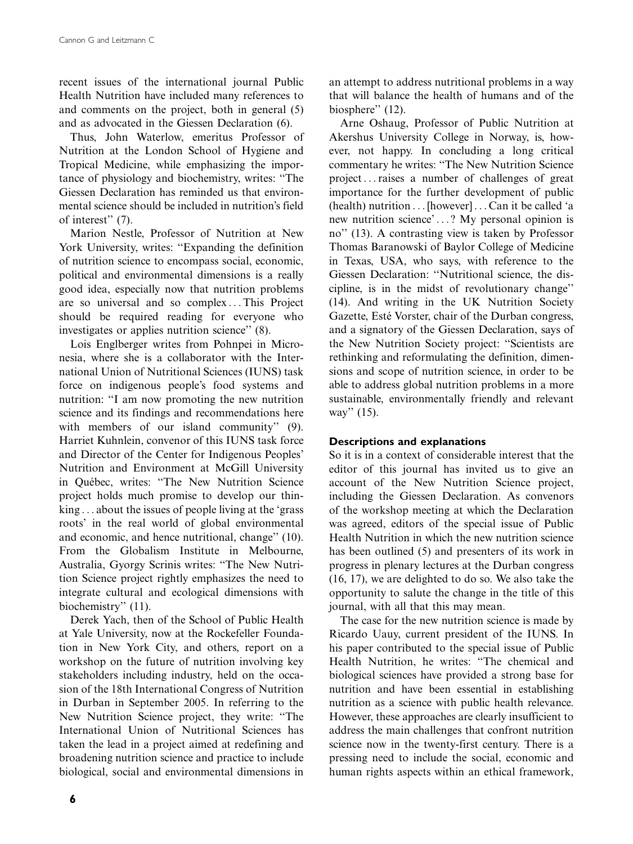recent issues of the international journal Public Health Nutrition have included many references to and comments on the project, both in general (5) and as advocated in the Giessen Declaration (6).

Thus, John Waterlow, emeritus Professor of Nutrition at the London School of Hygiene and Tropical Medicine, while emphasizing the importance of physiology and biochemistry, writes: ''The Giessen Declaration has reminded us that environmental science should be included in nutrition's field of interest'' (7).

Marion Nestle, Professor of Nutrition at New York University, writes: "Expanding the definition of nutrition science to encompass social, economic, political and environmental dimensions is a really good idea, especially now that nutrition problems are so universal and so complex ...This Project should be required reading for everyone who investigates or applies nutrition science'' (8).

Lois Englberger writes from Pohnpei in Micronesia, where she is a collaborator with the International Union of Nutritional Sciences (IUNS) task force on indigenous people's food systems and nutrition: ''I am now promoting the new nutrition science and its findings and recommendations here with members of our island community" (9). Harriet Kuhnlein, convenor of this IUNS task force and Director of the Center for Indigenous Peoples' Nutrition and Environment at McGill University in Québec, writes: "The New Nutrition Science project holds much promise to develop our thinking . . . about the issues of people living at the 'grass roots' in the real world of global environmental and economic, and hence nutritional, change'' (10). From the Globalism Institute in Melbourne, Australia, Gyorgy Scrinis writes: ''The New Nutrition Science project rightly emphasizes the need to integrate cultural and ecological dimensions with biochemistry'' (11).

Derek Yach, then of the School of Public Health at Yale University, now at the Rockefeller Foundation in New York City, and others, report on a workshop on the future of nutrition involving key stakeholders including industry, held on the occasion of the 18th International Congress of Nutrition in Durban in September 2005. In referring to the New Nutrition Science project, they write: ''The International Union of Nutritional Sciences has taken the lead in a project aimed at redefining and broadening nutrition science and practice to include biological, social and environmental dimensions in

an attempt to address nutritional problems in a way that will balance the health of humans and of the biosphere'' (12).

Arne Oshaug, Professor of Public Nutrition at Akershus University College in Norway, is, however, not happy. In concluding a long critical commentary he writes: ''The New Nutrition Science project. . .raises a number of challenges of great importance for the further development of public (health) nutrition ... [however] . . . Can it be called 'a new nutrition science' . . .? My personal opinion is no'' (13). A contrasting view is taken by Professor Thomas Baranowski of Baylor College of Medicine in Texas, USA, who says, with reference to the Giessen Declaration: ''Nutritional science, the discipline, is in the midst of revolutionary change'' (14). And writing in the UK Nutrition Society Gazette, Esté Vorster, chair of the Durban congress, and a signatory of the Giessen Declaration, says of the New Nutrition Society project: ''Scientists are rethinking and reformulating the definition, dimensions and scope of nutrition science, in order to be able to address global nutrition problems in a more sustainable, environmentally friendly and relevant way" (15).

# Descriptions and explanations

So it is in a context of considerable interest that the editor of this journal has invited us to give an account of the New Nutrition Science project, including the Giessen Declaration. As convenors of the workshop meeting at which the Declaration was agreed, editors of the special issue of Public Health Nutrition in which the new nutrition science has been outlined (5) and presenters of its work in progress in plenary lectures at the Durban congress (16, 17), we are delighted to do so. We also take the opportunity to salute the change in the title of this journal, with all that this may mean.

The case for the new nutrition science is made by Ricardo Uauy, current president of the IUNS. In his paper contributed to the special issue of Public Health Nutrition, he writes: ''The chemical and biological sciences have provided a strong base for nutrition and have been essential in establishing nutrition as a science with public health relevance. However, these approaches are clearly insufficient to address the main challenges that confront nutrition science now in the twenty-first century. There is a pressing need to include the social, economic and human rights aspects within an ethical framework,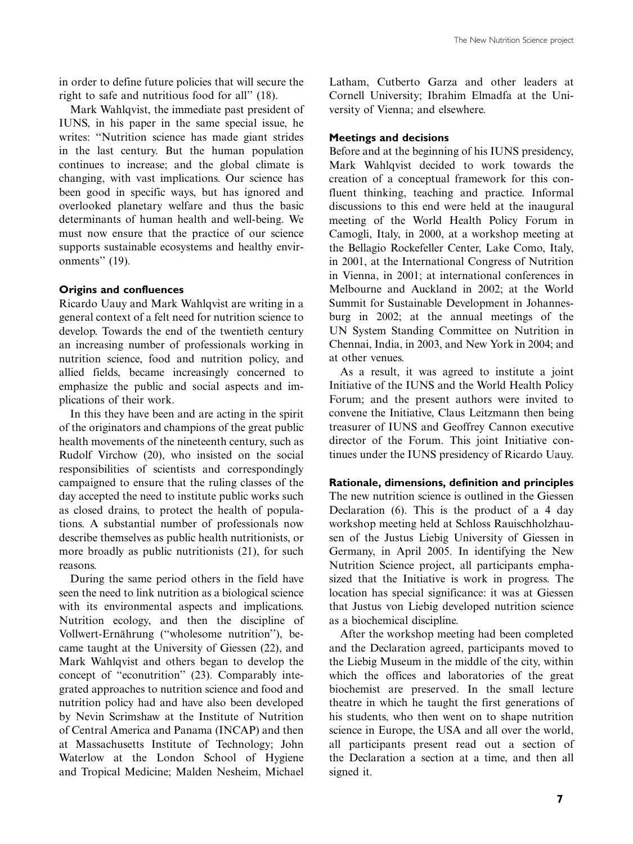in order to define future policies that will secure the right to safe and nutritious food for all'' (18).

Mark Wahlqvist, the immediate past president of IUNS, in his paper in the same special issue, he writes: ''Nutrition science has made giant strides in the last century. But the human population continues to increase; and the global climate is changing, with vast implications. Our science has been good in specific ways, but has ignored and overlooked planetary welfare and thus the basic determinants of human health and well-being. We must now ensure that the practice of our science supports sustainable ecosystems and healthy environments" (19).

# Origins and confluences

Ricardo Uauy and Mark Wahlqvist are writing in a general context of a felt need for nutrition science to develop. Towards the end of the twentieth century an increasing number of professionals working in nutrition science, food and nutrition policy, and allied fields, became increasingly concerned to emphasize the public and social aspects and implications of their work.

In this they have been and are acting in the spirit of the originators and champions of the great public health movements of the nineteenth century, such as Rudolf Virchow (20), who insisted on the social responsibilities of scientists and correspondingly campaigned to ensure that the ruling classes of the day accepted the need to institute public works such as closed drains, to protect the health of populations. A substantial number of professionals now describe themselves as public health nutritionists, or more broadly as public nutritionists (21), for such reasons.

During the same period others in the field have seen the need to link nutrition as a biological science with its environmental aspects and implications. Nutrition ecology, and then the discipline of Vollwert-Ernährung ("wholesome nutrition"), became taught at the University of Giessen (22), and Mark Wahlqvist and others began to develop the concept of ''econutrition'' (23). Comparably integrated approaches to nutrition science and food and nutrition policy had and have also been developed by Nevin Scrimshaw at the Institute of Nutrition of Central America and Panama (INCAP) and then at Massachusetts Institute of Technology; John Waterlow at the London School of Hygiene and Tropical Medicine; Malden Nesheim, Michael Latham, Cutberto Garza and other leaders at Cornell University; Ibrahim Elmadfa at the University of Vienna; and elsewhere.

### Meetings and decisions

Before and at the beginning of his IUNS presidency, Mark Wahlqvist decided to work towards the creation of a conceptual framework for this confluent thinking, teaching and practice. Informal discussions to this end were held at the inaugural meeting of the World Health Policy Forum in Camogli, Italy, in 2000, at a workshop meeting at the Bellagio Rockefeller Center, Lake Como, Italy, in 2001, at the International Congress of Nutrition in Vienna, in 2001; at international conferences in Melbourne and Auckland in 2002; at the World Summit for Sustainable Development in Johannesburg in 2002; at the annual meetings of the UN System Standing Committee on Nutrition in Chennai, India, in 2003, and New York in 2004; and at other venues.

As a result, it was agreed to institute a joint Initiative of the IUNS and the World Health Policy Forum; and the present authors were invited to convene the Initiative, Claus Leitzmann then being treasurer of IUNS and Geoffrey Cannon executive director of the Forum. This joint Initiative continues under the IUNS presidency of Ricardo Uauy.

# Rationale, dimensions, definition and principles

The new nutrition science is outlined in the Giessen Declaration (6). This is the product of a 4 day workshop meeting held at Schloss Rauischholzhausen of the Justus Liebig University of Giessen in Germany, in April 2005. In identifying the New Nutrition Science project, all participants emphasized that the Initiative is work in progress. The location has special significance: it was at Giessen that Justus von Liebig developed nutrition science as a biochemical discipline.

After the workshop meeting had been completed and the Declaration agreed, participants moved to the Liebig Museum in the middle of the city, within which the offices and laboratories of the great biochemist are preserved. In the small lecture theatre in which he taught the first generations of his students, who then went on to shape nutrition science in Europe, the USA and all over the world, all participants present read out a section of the Declaration a section at a time, and then all signed it.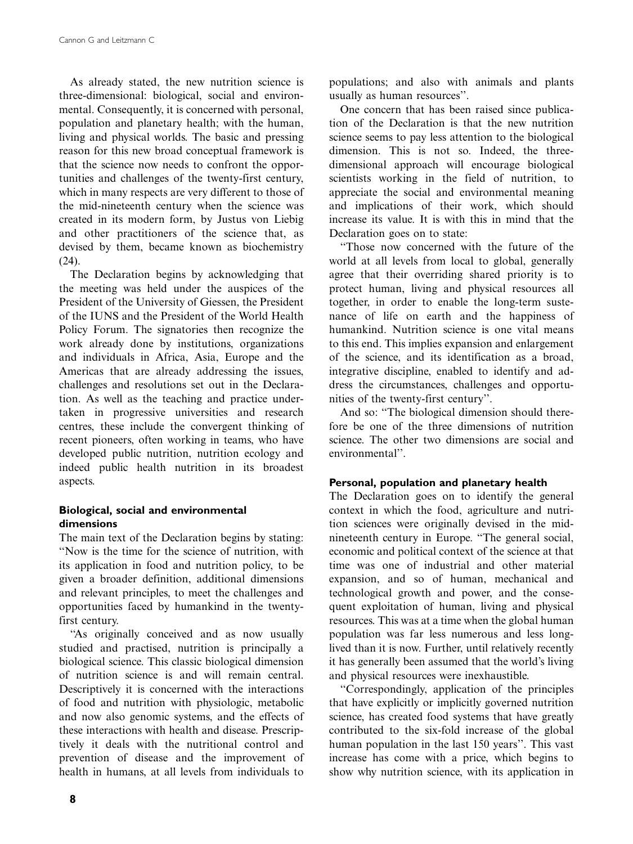As already stated, the new nutrition science is three-dimensional: biological, social and environmental. Consequently, it is concerned with personal, population and planetary health; with the human, living and physical worlds. The basic and pressing reason for this new broad conceptual framework is that the science now needs to confront the opportunities and challenges of the twenty-first century, which in many respects are very different to those of the mid-nineteenth century when the science was created in its modern form, by Justus von Liebig and other practitioners of the science that, as devised by them, became known as biochemistry  $(24)$ .

The Declaration begins by acknowledging that the meeting was held under the auspices of the President of the University of Giessen, the President of the IUNS and the President of the World Health Policy Forum. The signatories then recognize the work already done by institutions, organizations and individuals in Africa, Asia, Europe and the Americas that are already addressing the issues, challenges and resolutions set out in the Declaration. As well as the teaching and practice undertaken in progressive universities and research centres, these include the convergent thinking of recent pioneers, often working in teams, who have developed public nutrition, nutrition ecology and indeed public health nutrition in its broadest aspects.

# Biological, social and environmental dimensions

The main text of the Declaration begins by stating: ''Now is the time for the science of nutrition, with its application in food and nutrition policy, to be given a broader definition, additional dimensions and relevant principles, to meet the challenges and opportunities faced by humankind in the twentyfirst century.

''As originally conceived and as now usually studied and practised, nutrition is principally a biological science. This classic biological dimension of nutrition science is and will remain central. Descriptively it is concerned with the interactions of food and nutrition with physiologic, metabolic and now also genomic systems, and the effects of these interactions with health and disease. Prescriptively it deals with the nutritional control and prevention of disease and the improvement of health in humans, at all levels from individuals to

populations; and also with animals and plants usually as human resources''.

One concern that has been raised since publication of the Declaration is that the new nutrition science seems to pay less attention to the biological dimension. This is not so. Indeed, the threedimensional approach will encourage biological scientists working in the field of nutrition, to appreciate the social and environmental meaning and implications of their work, which should increase its value. It is with this in mind that the Declaration goes on to state:

''Those now concerned with the future of the world at all levels from local to global, generally agree that their overriding shared priority is to protect human, living and physical resources all together, in order to enable the long-term sustenance of life on earth and the happiness of humankind. Nutrition science is one vital means to this end. This implies expansion and enlargement of the science, and its identification as a broad, integrative discipline, enabled to identify and address the circumstances, challenges and opportunities of the twenty-first century''.

And so: ''The biological dimension should therefore be one of the three dimensions of nutrition science. The other two dimensions are social and environmental''.

# Personal, population and planetary health

The Declaration goes on to identify the general context in which the food, agriculture and nutrition sciences were originally devised in the midnineteenth century in Europe. ''The general social, economic and political context of the science at that time was one of industrial and other material expansion, and so of human, mechanical and technological growth and power, and the consequent exploitation of human, living and physical resources. This was at a time when the global human population was far less numerous and less longlived than it is now. Further, until relatively recently it has generally been assumed that the world's living and physical resources were inexhaustible.

''Correspondingly, application of the principles that have explicitly or implicitly governed nutrition science, has created food systems that have greatly contributed to the six-fold increase of the global human population in the last 150 years''. This vast increase has come with a price, which begins to show why nutrition science, with its application in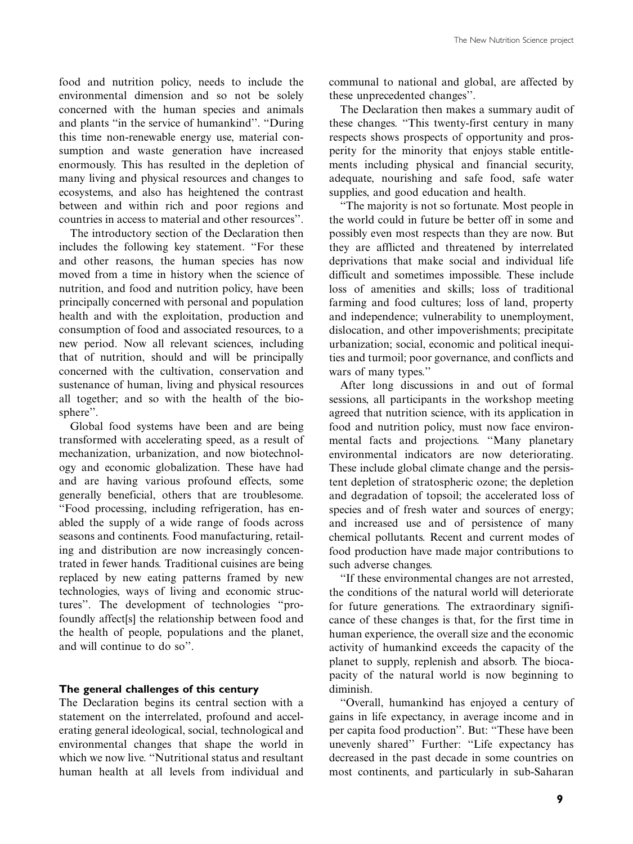food and nutrition policy, needs to include the environmental dimension and so not be solely concerned with the human species and animals and plants ''in the service of humankind''. ''During this time non-renewable energy use, material consumption and waste generation have increased enormously. This has resulted in the depletion of many living and physical resources and changes to ecosystems, and also has heightened the contrast between and within rich and poor regions and countries in access to material and other resources''.

The introductory section of the Declaration then includes the following key statement. ''For these and other reasons, the human species has now moved from a time in history when the science of nutrition, and food and nutrition policy, have been principally concerned with personal and population health and with the exploitation, production and consumption of food and associated resources, to a new period. Now all relevant sciences, including that of nutrition, should and will be principally concerned with the cultivation, conservation and sustenance of human, living and physical resources all together; and so with the health of the biosphere''.

Global food systems have been and are being transformed with accelerating speed, as a result of mechanization, urbanization, and now biotechnology and economic globalization. These have had and are having various profound effects, some generally beneficial, others that are troublesome. ''Food processing, including refrigeration, has enabled the supply of a wide range of foods across seasons and continents. Food manufacturing, retailing and distribution are now increasingly concentrated in fewer hands. Traditional cuisines are being replaced by new eating patterns framed by new technologies, ways of living and economic structures''. The development of technologies ''profoundly affect[s] the relationship between food and the health of people, populations and the planet, and will continue to do so''.

#### The general challenges of this century

The Declaration begins its central section with a statement on the interrelated, profound and accelerating general ideological, social, technological and environmental changes that shape the world in which we now live. ''Nutritional status and resultant human health at all levels from individual and

communal to national and global, are affected by these unprecedented changes''.

The Declaration then makes a summary audit of these changes. ''This twenty-first century in many respects shows prospects of opportunity and prosperity for the minority that enjoys stable entitlements including physical and financial security, adequate, nourishing and safe food, safe water supplies, and good education and health.

''The majority is not so fortunate. Most people in the world could in future be better off in some and possibly even most respects than they are now. But they are afflicted and threatened by interrelated deprivations that make social and individual life difficult and sometimes impossible. These include loss of amenities and skills; loss of traditional farming and food cultures; loss of land, property and independence; vulnerability to unemployment, dislocation, and other impoverishments; precipitate urbanization; social, economic and political inequities and turmoil; poor governance, and conflicts and wars of many types.''

After long discussions in and out of formal sessions, all participants in the workshop meeting agreed that nutrition science, with its application in food and nutrition policy, must now face environmental facts and projections. ''Many planetary environmental indicators are now deteriorating. These include global climate change and the persistent depletion of stratospheric ozone; the depletion and degradation of topsoil; the accelerated loss of species and of fresh water and sources of energy; and increased use and of persistence of many chemical pollutants. Recent and current modes of food production have made major contributions to such adverse changes.

''If these environmental changes are not arrested, the conditions of the natural world will deteriorate for future generations. The extraordinary significance of these changes is that, for the first time in human experience, the overall size and the economic activity of humankind exceeds the capacity of the planet to supply, replenish and absorb. The biocapacity of the natural world is now beginning to diminish.

''Overall, humankind has enjoyed a century of gains in life expectancy, in average income and in per capita food production''. But: ''These have been unevenly shared'' Further: ''Life expectancy has decreased in the past decade in some countries on most continents, and particularly in sub-Saharan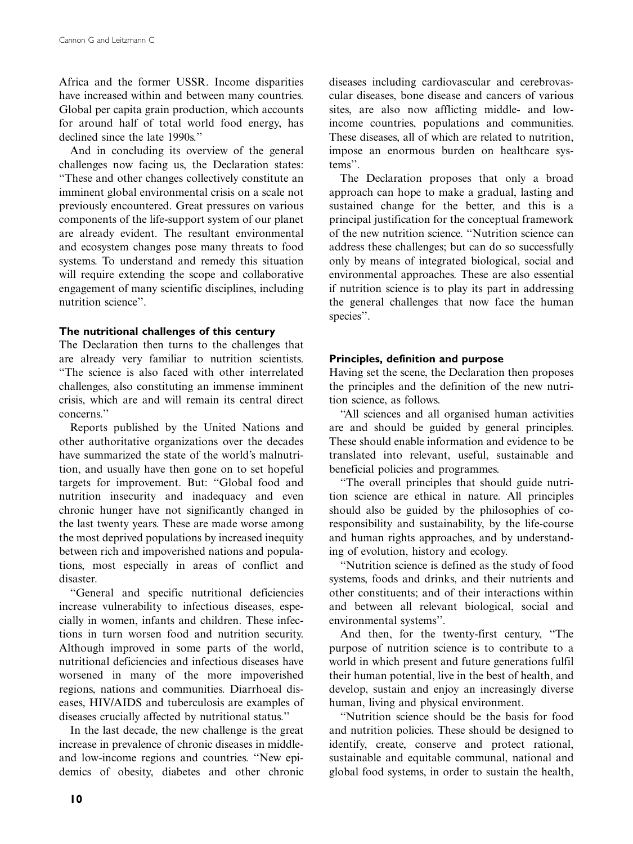Africa and the former USSR. Income disparities have increased within and between many countries. Global per capita grain production, which accounts for around half of total world food energy, has declined since the late 1990s.''

And in concluding its overview of the general challenges now facing us, the Declaration states: ''These and other changes collectively constitute an imminent global environmental crisis on a scale not previously encountered. Great pressures on various components of the life-support system of our planet are already evident. The resultant environmental and ecosystem changes pose many threats to food systems. To understand and remedy this situation will require extending the scope and collaborative engagement of many scientific disciplines, including nutrition science''.

# The nutritional challenges of this century

The Declaration then turns to the challenges that are already very familiar to nutrition scientists. ''The science is also faced with other interrelated challenges, also constituting an immense imminent crisis, which are and will remain its central direct concerns.''

Reports published by the United Nations and other authoritative organizations over the decades have summarized the state of the world's malnutrition, and usually have then gone on to set hopeful targets for improvement. But: ''Global food and nutrition insecurity and inadequacy and even chronic hunger have not significantly changed in the last twenty years. These are made worse among the most deprived populations by increased inequity between rich and impoverished nations and populations, most especially in areas of conflict and disaster.

''General and specific nutritional deficiencies increase vulnerability to infectious diseases, especially in women, infants and children. These infections in turn worsen food and nutrition security. Although improved in some parts of the world, nutritional deficiencies and infectious diseases have worsened in many of the more impoverished regions, nations and communities. Diarrhoeal diseases, HIV/AIDS and tuberculosis are examples of diseases crucially affected by nutritional status.''

In the last decade, the new challenge is the great increase in prevalence of chronic diseases in middleand low-income regions and countries. ''New epidemics of obesity, diabetes and other chronic diseases including cardiovascular and cerebrovascular diseases, bone disease and cancers of various sites, are also now afflicting middle- and lowincome countries, populations and communities. These diseases, all of which are related to nutrition, impose an enormous burden on healthcare systems''.

The Declaration proposes that only a broad approach can hope to make a gradual, lasting and sustained change for the better, and this is a principal justification for the conceptual framework of the new nutrition science. ''Nutrition science can address these challenges; but can do so successfully only by means of integrated biological, social and environmental approaches. These are also essential if nutrition science is to play its part in addressing the general challenges that now face the human species''.

# Principles, definition and purpose

Having set the scene, the Declaration then proposes the principles and the definition of the new nutrition science, as follows.

''All sciences and all organised human activities are and should be guided by general principles. These should enable information and evidence to be translated into relevant, useful, sustainable and beneficial policies and programmes.

''The overall principles that should guide nutrition science are ethical in nature. All principles should also be guided by the philosophies of coresponsibility and sustainability, by the life-course and human rights approaches, and by understanding of evolution, history and ecology.

''Nutrition science is defined as the study of food systems, foods and drinks, and their nutrients and other constituents; and of their interactions within and between all relevant biological, social and environmental systems''.

And then, for the twenty-first century, ''The purpose of nutrition science is to contribute to a world in which present and future generations fulfil their human potential, live in the best of health, and develop, sustain and enjoy an increasingly diverse human, living and physical environment.

''Nutrition science should be the basis for food and nutrition policies. These should be designed to identify, create, conserve and protect rational, sustainable and equitable communal, national and global food systems, in order to sustain the health,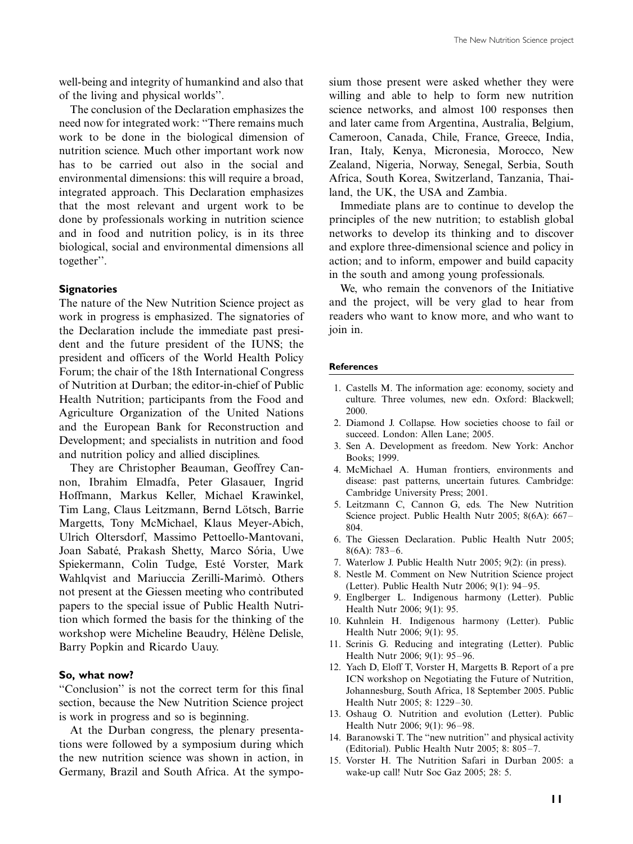well-being and integrity of humankind and also that of the living and physical worlds''.

The conclusion of the Declaration emphasizes the need now for integrated work: ''There remains much work to be done in the biological dimension of nutrition science. Much other important work now has to be carried out also in the social and environmental dimensions: this will require a broad, integrated approach. This Declaration emphasizes that the most relevant and urgent work to be done by professionals working in nutrition science and in food and nutrition policy, is in its three biological, social and environmental dimensions all together''.

#### **Signatories**

The nature of the New Nutrition Science project as work in progress is emphasized. The signatories of the Declaration include the immediate past president and the future president of the IUNS; the president and officers of the World Health Policy Forum; the chair of the 18th International Congress of Nutrition at Durban; the editor-in-chief of Public Health Nutrition; participants from the Food and Agriculture Organization of the United Nations and the European Bank for Reconstruction and Development; and specialists in nutrition and food and nutrition policy and allied disciplines.

They are Christopher Beauman, Geoffrey Cannon, Ibrahim Elmadfa, Peter Glasauer, Ingrid Hoffmann, Markus Keller, Michael Krawinkel, Tim Lang, Claus Leitzmann, Bernd Lötsch, Barrie Margetts, Tony McMichael, Klaus Meyer-Abich, Ulrich Oltersdorf, Massimo Pettoello-Mantovani, Joan Sabaté, Prakash Shetty, Marco Sória, Uwe Spiekermann, Colin Tudge, Esté Vorster, Mark Wahlqvist and Mariuccia Zerilli-Marimò. Others not present at the Giessen meeting who contributed papers to the special issue of Public Health Nutrition which formed the basis for the thinking of the workshop were Micheline Beaudry, Hélène Delisle, Barry Popkin and Ricardo Uauy.

#### So, what now?

''Conclusion'' is not the correct term for this final section, because the New Nutrition Science project is work in progress and so is beginning.

At the Durban congress, the plenary presentations were followed by a symposium during which the new nutrition science was shown in action, in Germany, Brazil and South Africa. At the symposium those present were asked whether they were willing and able to help to form new nutrition science networks, and almost 100 responses then and later came from Argentina, Australia, Belgium, Cameroon, Canada, Chile, France, Greece, India, Iran, Italy, Kenya, Micronesia, Morocco, New Zealand, Nigeria, Norway, Senegal, Serbia, South Africa, South Korea, Switzerland, Tanzania, Thailand, the UK, the USA and Zambia.

Immediate plans are to continue to develop the principles of the new nutrition; to establish global networks to develop its thinking and to discover and explore three-dimensional science and policy in action; and to inform, empower and build capacity in the south and among young professionals.

We, who remain the convenors of the Initiative and the project, will be very glad to hear from readers who want to know more, and who want to join in.

#### **References**

- 1. Castells M. The information age: economy, society and culture. Three volumes, new edn. Oxford: Blackwell; 2000.
- 2. Diamond J. Collapse. How societies choose to fail or succeed. London: Allen Lane; 2005.
- 3. Sen A. Development as freedom. New York: Anchor Books; 1999.
- 4. McMichael A. Human frontiers, environments and disease: past patterns, uncertain futures. Cambridge: Cambridge University Press; 2001.
- 5. Leitzmann C, Cannon G, eds. The New Nutrition Science project. Public Health Nutr 2005; 8(6A): 667– 804.
- 6. The Giessen Declaration. Public Health Nutr 2005;  $8(6A): 783-6.$
- 7. Waterlow J. Public Health Nutr 2005; 9(2): (in press).
- 8. Nestle M. Comment on New Nutrition Science project (Letter). Public Health Nutr 2006; 9(1): 94-95.
- 9. Englberger L. Indigenous harmony (Letter). Public Health Nutr 2006; 9(1): 95.
- 10. Kuhnlein H. Indigenous harmony (Letter). Public Health Nutr 2006; 9(1): 95.
- 11. Scrinis G. Reducing and integrating (Letter). Public Health Nutr 2006; 9(1): 95-96.
- 12. Yach D, Eloff T, Vorster H, Margetts B. Report of a pre ICN workshop on Negotiating the Future of Nutrition, Johannesburg, South Africa, 18 September 2005. Public Health Nutr 2005; 8: 1229-30.
- 13. Oshaug O. Nutrition and evolution (Letter). Public Health Nutr 2006; 9(1): 96-98.
- 14. Baranowski T. The ''new nutrition'' and physical activity (Editorial). Public Health Nutr  $2005$ ; 8:  $805-7$ .
- 15. Vorster H. The Nutrition Safari in Durban 2005: a wake-up call! Nutr Soc Gaz 2005; 28: 5.